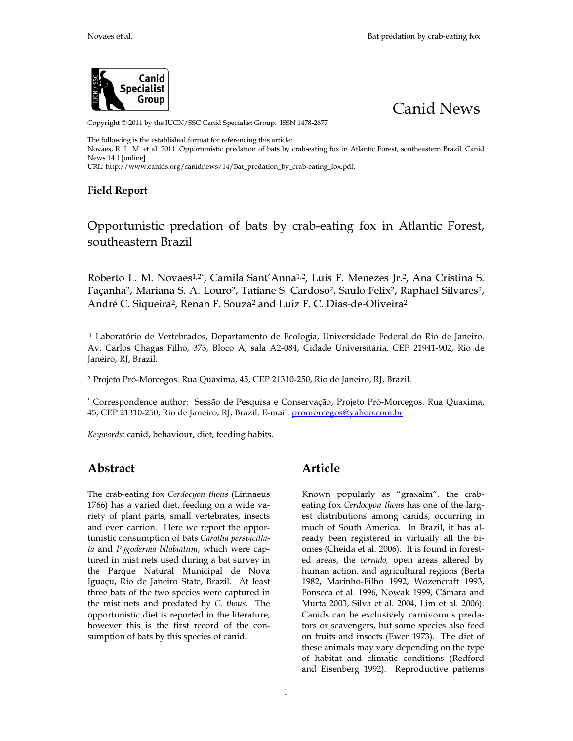



Copyright © 2011 by the IUCN/SSC Canid Specialist Group. ISSN 1478-2677

The following is the established format for referencing this article:

Novaes, R. L. M. et al. 2011. Opportunistic predation of bats by crab-eating fox in Atlantic Forest, southeastern Brazil. Canid News 14.1 [online]

[URL: http://www.canids.org/canidnews/14/Bat\\_predation\\_by\\_crab-eating\\_fox.pdf.](http://www.canids.org/canidnews/14/Bat_predation_by_cr) 

## Field Report

Opportunistic predation of bats by crab-eating fox in Atlantic Forest, southeastern Brazil

Roberto L. M. Novaes<sup>1,2\*</sup>, Camila Sant'Anna<sup>1,2</sup>, Luis F. Menezes Jr.<sup>2</sup>, Ana Cristina S. Façanha<sup>2</sup>, Mariana S. A. Louro<sup>2</sup>, Tatiane S. Cardoso<sup>2</sup>, Saulo Felix<sup>2</sup>, Raphael Silvares<sup>2</sup>, André C. Siqueira<sup>2</sup>, Renan F. Souza<sup>2</sup> and Luiz F. C. Dias-de-Oliveira<sup>2</sup>

<sup>1</sup> Laboratório de Vertebrados, Departamento de Ecologia, Universidade Federal do Rio de Janeiro. Av. Carlos Chagas Filho, 373, Bloco A, sala A2-084, Cidade Universitária, CEP 21941-902, Rio de Janeiro, RJ, Brazil.

<sup>2</sup> Projeto Pró-Morcegos. Rua Quaxima, 45, CEP 21310-250, Rio de Janeiro, RJ, Brazil.

\* Correspondence author: Sessão de Pesquisa e C[onservação, Projeto Pró-Morcegos. Rua Quaxima,](mailto:promorcegos@yahoo.com.br)  45, CEP 21310-250, Rio de Janeiro, RJ, Brazil. E-mail: *promorcegos@yahoo.com.br* 

Keywords: canid, behaviour, diet, feeding habits.

## Abstract

The crab-eating fox Cerdocyon thous (Linnaeus 1766) has a varied diet, feeding on a wide variety of plant parts, small vertebrates, insects and even carrion. Here we report the opportunistic consumption of bats Carollia perspicillata and Pygoderma bilabiatum, which were captured in mist nets used during a bat survey in the Parque Natural Municipal de Nova Iguaçu, Rio de Janeiro State, Brazil. At least three bats of the two species were captured in the mist nets and predated by C. thous. The opportunistic diet is reported in the literature, however this is the first record of the consumption of bats by this species of canid.

## Article

Known popularly as "graxaim", the crabeating fox Cerdocyon thous has one of the largest distributions among canids, occurring in much of South America. In Brazil, it has already been registered in virtually all the biomes (Cheida et al. 2006). It is found in forested areas, the cerrado, open areas altered by human action, and agricultural regions (Berta 1982, Marinho-Filho 1992, Wozencraft 1993, Fonseca et al. 1996, Nowak 1999, Câmara and Murta 2003, Silva et al. 2004, Lim et al. 2006). Canids can be exclusively carnivorous predators or scavengers, but some species also feed on fruits and insects (Ewer 1973). The diet of these animals may vary depending on the type of habitat and climatic conditions (Redford and Eisenberg 1992). Reproductive patterns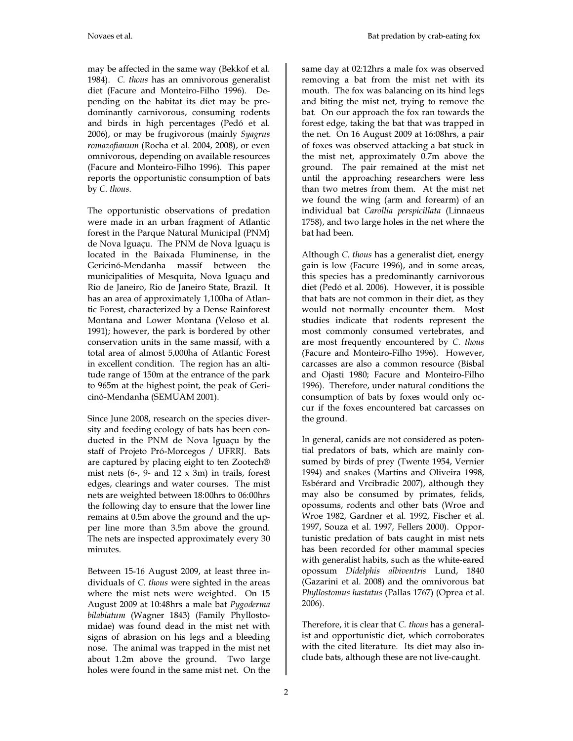may be affected in the same way (Bekkof et al. 1984). C. thous has an omnivorous generalist diet (Facure and Monteiro-Filho 1996). Depending on the habitat its diet may be predominantly carnivorous, consuming rodents and birds in high percentages (Pedó et al. 2006), or may be frugivorous (mainly Syagrus romazofianum (Rocha et al. 2004, 2008), or even omnivorous, depending on available resources (Facure and Monteiro-Filho 1996). This paper reports the opportunistic consumption of bats by C. thous.

The opportunistic observations of predation were made in an urban fragment of Atlantic forest in the Parque Natural Municipal (PNM) de Nova Iguaçu. The PNM de Nova Iguaçu is located in the Baixada Fluminense, in the Gericinó-Mendanha massif between the municipalities of Mesquita, Nova Iguaçu and Rio de Janeiro, Rio de Janeiro State, Brazil. It has an area of approximately 1,100ha of Atlantic Forest, characterized by a Dense Rainforest Montana and Lower Montana (Veloso et al. 1991); however, the park is bordered by other conservation units in the same massif, with a total area of almost 5,000ha of Atlantic Forest in excellent condition. The region has an altitude range of 150m at the entrance of the park to 965m at the highest point, the peak of Gericinó-Mendanha (SEMUAM 2001).

Since June 2008, research on the species diversity and feeding ecology of bats has been conducted in the PNM de Nova Iguaçu by the staff of Projeto Pró-Morcegos / UFRRJ. Bats are captured by placing eight to ten Zootech® mist nets  $(6-)$  9- and  $12 \times 3m$ ) in trails, forest edges, clearings and water courses. The mist nets are weighted between 18:00hrs to 06:00hrs the following day to ensure that the lower line remains at 0.5m above the ground and the upper line more than 3.5m above the ground. The nets are inspected approximately every 30 minutes.

Between 15-16 August 2009, at least three individuals of C. thous were sighted in the areas where the mist nets were weighted. On 15 August 2009 at 10:48hrs a male bat Pygoderma bilabiatum (Wagner 1843) (Family Phyllostomidae) was found dead in the mist net with signs of abrasion on his legs and a bleeding nose. The animal was trapped in the mist net about 1.2m above the ground. Two large holes were found in the same mist net. On the

same day at 02:12hrs a male fox was observed removing a bat from the mist net with its mouth. The fox was balancing on its hind legs and biting the mist net, trying to remove the bat. On our approach the fox ran towards the forest edge, taking the bat that was trapped in the net. On 16 August 2009 at 16:08hrs, a pair of foxes was observed attacking a bat stuck in the mist net, approximately 0.7m above the ground. The pair remained at the mist net until the approaching researchers were less than two metres from them. At the mist net we found the wing (arm and forearm) of an individual bat Carollia perspicillata (Linnaeus 1758), and two large holes in the net where the bat had been.

Although C. thous has a generalist diet, energy gain is low (Facure 1996), and in some areas, this species has a predominantly carnivorous diet (Pedó et al. 2006). However, it is possible that bats are not common in their diet, as they would not normally encounter them. Most studies indicate that rodents represent the most commonly consumed vertebrates, and are most frequently encountered by C. thous (Facure and Monteiro-Filho 1996). However, carcasses are also a common resource (Bisbal and Ojasti 1980; Facure and Monteiro-Filho 1996). Therefore, under natural conditions the consumption of bats by foxes would only occur if the foxes encountered bat carcasses on the ground.

In general, canids are not considered as potential predators of bats, which are mainly consumed by birds of prey (Twente 1954, Vernier 1994) and snakes (Martins and Oliveira 1998, Esbérard and Vrcibradic 2007), although they may also be consumed by primates, felids, opossums, rodents and other bats (Wroe and Wroe 1982, Gardner et al. 1992, Fischer et al. 1997, Souza et al. 1997, Fellers 2000). Opportunistic predation of bats caught in mist nets has been recorded for other mammal species with generalist habits, such as the white-eared opossum Didelphis albiventris Lund, 1840 (Gazarini et al. 2008) and the omnivorous bat Phyllostomus hastatus (Pallas 1767) (Oprea et al. 2006).

Therefore, it is clear that C. thous has a generalist and opportunistic diet, which corroborates with the cited literature. Its diet may also include bats, although these are not live-caught.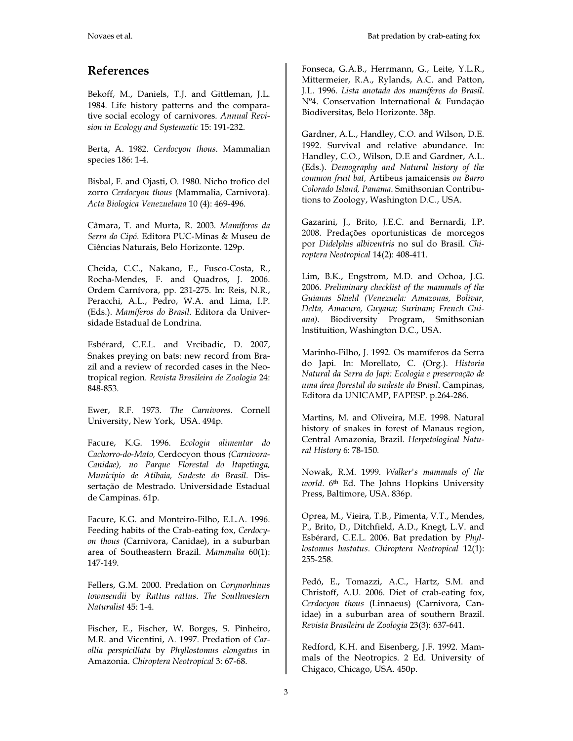## References

Bekoff, M., Daniels, T.J. and Gittleman, J.L. 1984. Life history patterns and the comparative social ecology of carnivores. Annual Revision in Ecology and Systematic 15: 191-232.

Berta, A. 1982. Cerdocyon thous. Mammalian species 186: 1-4.

Bisbal, F. and Ojasti, O. 1980. Nicho trofico del zorro Cerdocyon thous (Mammalia, Carnivora). Acta Biologica Venezuelana 10 (4): 469-496.

Câmara, T. and Murta, R. 2003. Mamíferos da Serra do Cipó. Editora PUC-Minas & Museu de Ciências Naturais, Belo Horizonte. 129p.

Cheida, C.C., Nakano, E., Fusco-Costa, R., Rocha-Mendes, F. and Quadros, J. 2006. Ordem Carnívora, pp. 231-275. In: Reis, N.R., Peracchi, A.L., Pedro, W.A. and Lima, I.P. (Eds.). Mamíferos do Brasil. Editora da Universidade Estadual de Londrina.

Esbérard, C.E.L. and Vrcibadic, D. 2007, Snakes preying on bats: new record from Brazil and a review of recorded cases in the Neotropical region. Revista Brasileira de Zoologia 24: 848-853.

Ewer, R.F. 1973. The Carnivores. Cornell University, New York, USA. 494p.

Facure, K.G. 1996. Ecologia alimentar do Cachorro-do-Mato, Cerdocyon thous (Carnivora-Canidae), no Parque Florestal do Itapetinga, Município de Atibaia, Sudeste do Brasil. Dissertação de Mestrado. Universidade Estadual de Campinas. 61p.

Facure, K.G. and Monteiro-Filho, E.L.A. 1996. Feeding habits of the Crab-eating fox, Cerdocyon thous (Carnivora, Canidae), in a suburban area of Southeastern Brazil. Mammalia 60(1): 147-149.

Fellers, G.M. 2000. Predation on Corynorhinus townsendii by Rattus rattus. The Southwestern Naturalist 45: 1-4.

Fischer, E., Fischer, W. Borges, S. Pinheiro, M.R. and Vicentini, A. 1997. Predation of Carollia perspicillata by Phyllostomus elongatus in Amazonia. Chiroptera Neotropical 3: 67-68.

Fonseca, G.A.B., Herrmann, G., Leite, Y.L.R., Mittermeier, R.A., Rylands, A.C. and Patton, J.L. 1996. Lista anotada dos mamíferos do Brasil. Nº4. Conservation International & Fundação Biodiversitas, Belo Horizonte. 38p.

Gardner, A.L., Handley, C.O. and Wilson, D.E. 1992. Survival and relative abundance. In: Handley, C.O., Wilson, D.E and Gardner, A.L. (Eds.). Demography and Natural history of the common fruit bat, Artibeus jamaicensis on Barro Colorado Island, Panama. Smithsonian Contributions to Zoology, Washington D.C., USA.

Gazarini, J., Brito, J.E.C. and Bernardi, I.P. 2008. Predações oportunisticas de morcegos por Didelphis albiventris no sul do Brasil. Chiroptera Neotropical 14(2): 408-411.

Lim, B.K., Engstrom, M.D. and Ochoa, J.G. 2006. Preliminary checklist of the mammals of the Guianas Shield (Venezuela: Amazonas, Bolivar, Delta, Amacuro, Guyana; Surinam; French Guiana). Biodiversity Program, Smithsonian Instituition, Washington D.C., USA.

Marinho-Filho, J. 1992. Os mamíferos da Serra do Japi. In: Morellato, C. (Org.). Historia Natural da Serra do Japi: Ecologia e preservação de uma área florestal do sudeste do Brasil. Campinas, Editora da UNICAMP, FAPESP. p.264-286.

Martins, M. and Oliveira, M.E. 1998. Natural history of snakes in forest of Manaus region, Central Amazonia, Brazil. Herpetological Natural History 6: 78-150.

Nowak, R.M. 1999. Walker's mammals of the world. 6<sup>th</sup> Ed. The Johns Hopkins University Press, Baltimore, USA. 836p.

Oprea, M., Vieira, T.B., Pimenta, V.T., Mendes, P., Brito, D., Ditchfield, A.D., Knegt, L.V. and Esbérard, C.E.L. 2006. Bat predation by Phyllostomus hastatus. Chiroptera Neotropical 12(1): 255-258.

Pedó, E., Tomazzi, A.C., Hartz, S.M. and Christoff, A.U. 2006. Diet of crab-eating fox, Cerdocyon thous (Linnaeus) (Carnivora, Canidae) in a suburban area of southern Brazil. Revista Brasileira de Zoologia 23(3): 637-641.

Redford, K.H. and Eisenberg, J.F. 1992. Mammals of the Neotropics. 2 Ed. University of Chigaco, Chicago, USA. 450p.